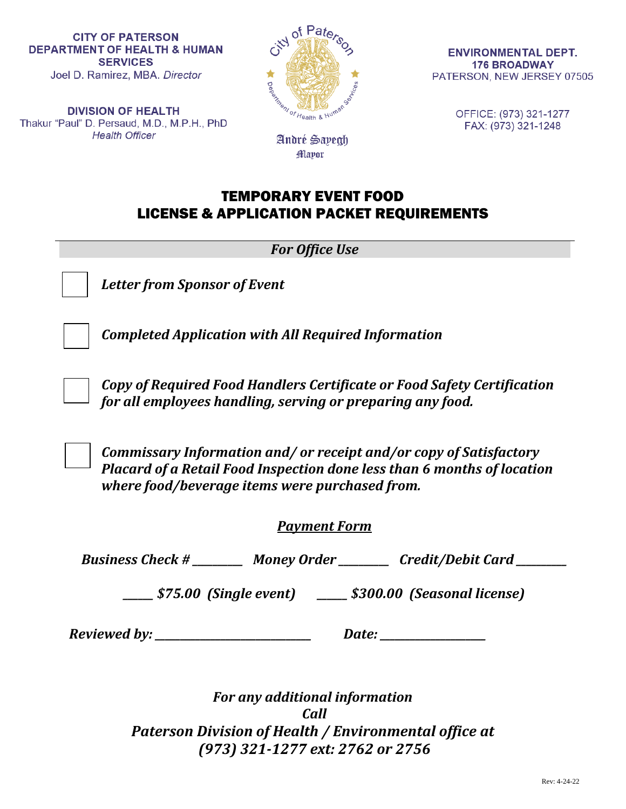**DIVISION OF HEALTH** Thakur "Paul" D. Persaud, M.D., M.P.H., PhD **Health Officer** 



André Sayegh **Mayor** 

**ENVIRONMENTAL DEPT. 176 BROADWAY** PATERSON, NEW JERSEY 07505

> OFFICE: (973) 321-1277 FAX: (973) 321-1248

# TEMPORARY EVENT FOOD LICENSE & APPLICATION PACKET REQUIREMENTS

*For Office Use*



*Letter from Sponsor of Event*

*Completed Application with All Required Information* 

*Copy of Required Food Handlers Certificate or Food Safety Certification for all employees handling, serving or preparing any food.*

*Commissary Information and/ or receipt and/or copy of Satisfactory Placard of a Retail Food Inspection done less than 6 months of location where food/beverage items were purchased from.* 

# *Payment Form*

*Business Check # \_\_\_\_\_\_\_\_\_\_ Money Order \_\_\_\_\_\_\_\_\_\_ Credit/Debit Card \_\_\_\_\_\_\_\_\_\_*

*\_\_\_\_\_\_ \$75.00 (Single event) \_\_\_\_\_\_ \$300.00 (Seasonal license)*

*Reviewed by: \_\_\_\_\_\_\_\_\_\_\_\_\_\_\_\_\_\_\_\_\_\_\_\_\_\_\_\_\_\_\_ Date: \_\_\_\_\_\_\_\_\_\_\_\_\_\_\_\_\_\_\_\_\_*

*For any additional information Call Paterson Division of Health / Environmental office at (973) 321-1277 ext: 2762 or 2756*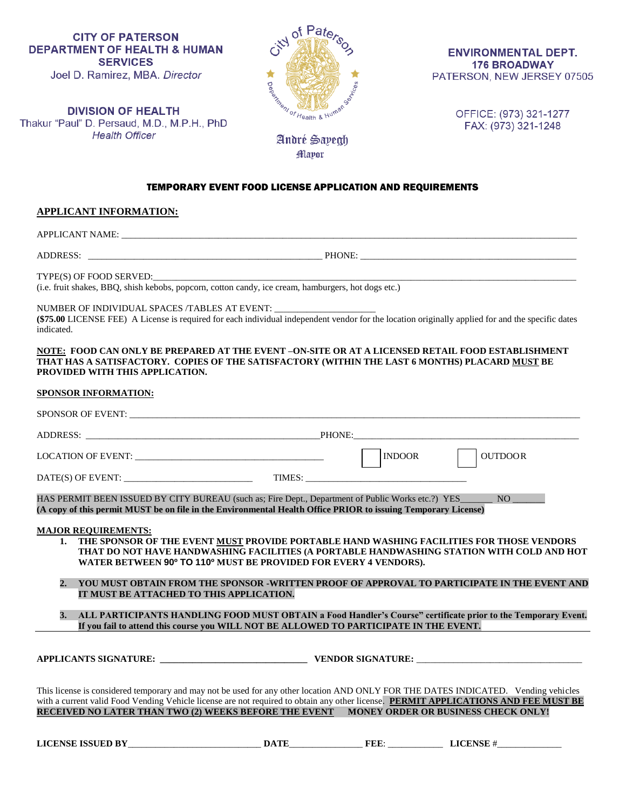

**ENVIRONMENTAL DEPT. 176 BROADWAY** PATERSON, NEW JERSEY 07505

**DIVISION OF HEALTH** Thakur "Paul" D. Persaud, M.D., M.P.H., PhD **Health Officer** 

OFFICE: (973) 321-1277 FAX: (973) 321-1248

### TEMPORARY EVENT FOOD LICENSE APPLICATION AND REQUIREMENTS

**Mayor** 

### **APPLICANT INFORMATION:**

APPLICANT NAME: \_\_\_\_\_\_\_\_\_\_\_\_\_\_\_\_\_\_\_\_\_\_\_\_\_\_\_\_\_\_\_\_\_\_\_\_\_\_\_\_\_\_\_\_\_\_\_\_\_\_\_\_\_\_\_\_\_\_\_\_\_\_\_\_\_\_\_\_\_\_\_\_\_\_\_\_\_\_\_\_\_\_\_\_\_\_\_\_\_\_\_\_\_\_\_\_\_\_\_

ADDRESS: \_\_\_\_\_\_\_\_\_\_\_\_\_\_\_\_\_\_\_\_\_\_\_\_\_\_\_\_\_\_\_\_\_\_\_\_\_\_\_\_\_\_\_\_\_\_\_\_\_\_\_ PHONE: \_\_\_\_\_\_\_\_\_\_\_\_\_\_\_\_\_\_\_\_\_\_\_\_\_\_\_\_\_\_\_\_\_\_\_\_\_\_\_\_\_\_\_\_\_\_\_

TYPE(S) OF FOOD SERVED:

(i.e. fruit shakes, BBQ, shish kebobs, popcorn, cotton candy, ice cream, hamburgers, hot dogs etc.)

NUMBER OF INDIVIDUAL SPACES /TABLES AT EVENT: \_

**(\$75.00** LICENSE FEE) A License is required for each individual independent vendor for the location originally applied for and the specific dates indicated.

#### **NOTE: FOOD CAN ONLY BE PREPARED AT THE EVENT –ON-SITE OR AT A LICENSED RETAIL FOOD ESTABLISHMENT THAT HAS A SATISFACTORY. COPIES OF THE SATISFACTORY (WITHIN THE LAST 6 MONTHS) PLACARD MUST BE PROVIDED WITH THIS APPLICATION.**

### **SPONSOR INFORMATION:**

|                        |                                          |                                                                                                                                                                                                                                                                                                                                                                                                                                                                                    | <b>INDOOR</b> | <b>OUTDOOR</b>                                                                                                                                                                                                                                                                                                                                                                       |
|------------------------|------------------------------------------|------------------------------------------------------------------------------------------------------------------------------------------------------------------------------------------------------------------------------------------------------------------------------------------------------------------------------------------------------------------------------------------------------------------------------------------------------------------------------------|---------------|--------------------------------------------------------------------------------------------------------------------------------------------------------------------------------------------------------------------------------------------------------------------------------------------------------------------------------------------------------------------------------------|
|                        |                                          |                                                                                                                                                                                                                                                                                                                                                                                                                                                                                    |               |                                                                                                                                                                                                                                                                                                                                                                                      |
|                        | <b>MAJOR REQUIREMENTS:</b>               | HAS PERMIT BEEN ISSUED BY CITY BUREAU (such as; Fire Dept., Department of Public Works etc.?) YES<br>(A copy of this permit MUST be on file in the Environmental Health Office PRIOR to issuing Temporary License)<br>1. THE SPONSOR OF THE EVENT MUST PROVIDE PORTABLE HAND WASHING FACILITIES FOR THOSE VENDORS<br>THAT DO NOT HAVE HANDWASHING FACILITIES (A PORTABLE HANDWASHING STATION WITH COLD AND HOT<br>WATER BETWEEN 90° TO 110° MUST BE PROVIDED FOR EVERY 4 VENDORS). |               | $\overline{N}$ $\overline{N}$ $\overline{O}$ $\overline{N}$ $\overline{O}$ $\overline{N}$ $\overline{O}$ $\overline{N}$ $\overline{O}$ $\overline{N}$ $\overline{O}$ $\overline{N}$ $\overline{O}$ $\overline{N}$ $\overline{O}$ $\overline{N}$ $\overline{O}$ $\overline{N}$ $\overline{O}$ $\overline{N}$ $\overline{O}$ $\overline{N}$ $\overline{O}$ $\overline{N}$ $\overline{$ |
| $\overline{2}$ .<br>3. | IT MUST BE ATTACHED TO THIS APPLICATION. | YOU MUST OBTAIN FROM THE SPONSOR -WRITTEN PROOF OF APPROVAL TO PARTICIPATE IN THE EVENT AND<br>ALL PARTICIPANTS HANDLING FOOD MUST OBTAIN a Food Handler's Course" certificate prior to the Temporary Event.<br>If you fail to attend this course you WILL NOT BE ALLOWED TO PARTICIPATE IN THE EVENT.                                                                                                                                                                             |               |                                                                                                                                                                                                                                                                                                                                                                                      |
|                        |                                          |                                                                                                                                                                                                                                                                                                                                                                                                                                                                                    |               |                                                                                                                                                                                                                                                                                                                                                                                      |
|                        |                                          | This license is considered temporary and may not be used for any other location AND ONLY FOR THE DATES INDICATED. Vending vehicles<br>with a current valid Food Vending Vehicle license are not required to obtain any other license. PERMIT APPLICATIONS AND FEE MUST BE<br>RECEIVED NO LATER THAN TWO (2) WEEKS BEFORE THE EVENT MONEY ORDER OR BUSINESS CHECK ONLY!                                                                                                             |               |                                                                                                                                                                                                                                                                                                                                                                                      |
|                        |                                          |                                                                                                                                                                                                                                                                                                                                                                                                                                                                                    |               |                                                                                                                                                                                                                                                                                                                                                                                      |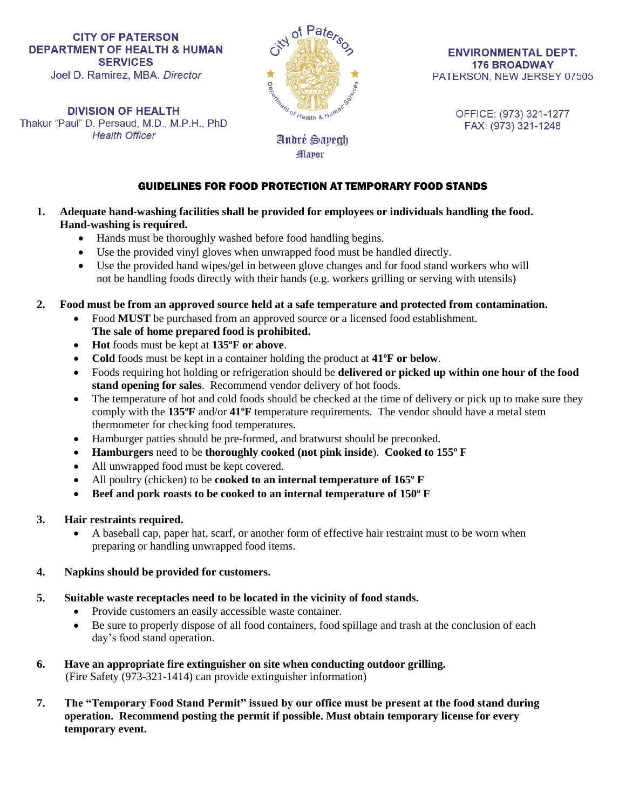**DIVISION OF HEALTH** Thakur "Paul" D. Persaud, M.D., M.P.H., PhD **Health Officer** 



**ENVIRONMENTAL DEPT. 176 BROADWAY** PATERSON, NEW JERSEY 07505

> OFFICE: (973) 321-1277 FAX: (973) 321-1248

# GUIDELINES FOR FOOD PROTECTION AT TEMPORARY FOOD STANDS

André Sayegh **Mayor** 

- **1. Adequate hand-washing facilities shall be provided for employees or individuals handling the food. Hand-washing is required.**
	- Hands must be thoroughly washed before food handling begins.
	- Use the provided vinyl gloves when unwrapped food must be handled directly.
	- Use the provided hand wipes/gel in between glove changes and for food stand workers who will not be handling foods directly with their hands (e.g. workers grilling or serving with utensils)
- **2. Food must be from an approved source held at a safe temperature and protected from contamination.**
	- Food **MUST** be purchased from an approved source or a licensed food establishment. **The sale of home prepared food is prohibited.**
	- **Hot** foods must be kept at **135ºF or above**.
	- **Cold** foods must be kept in a container holding the product at **41ºF or below**.
	- Foods requiring hot holding or refrigeration should be **delivered or picked up within one hour of the food stand opening for sales**. Recommend vendor delivery of hot foods.
	- The temperature of hot and cold foods should be checked at the time of delivery or pick up to make sure they comply with the **135ºF** and/or **41ºF** temperature requirements. The vendor should have a metal stem thermometer for checking food temperatures.
	- Hamburger patties should be pre-formed, and bratwurst should be precooked.
	- **Hamburgers** need to be **thoroughly cooked (not pink inside**). **Cooked to 155º F**
	- All unwrapped food must be kept covered.
	- All poultry (chicken) to be **cooked to an internal temperature of 165º F**
	- **Beef and pork roasts to be cooked to an internal temperature of 150º F**

# **3. Hair restraints required.**

 A baseball cap, paper hat, scarf, or another form of effective hair restraint must to be worn when preparing or handling unwrapped food items.

# **4. Napkins should be provided for customers.**

- **5. Suitable waste receptacles need to be located in the vicinity of food stands.**
	- Provide customers an easily accessible waste container.
	- Be sure to properly dispose of all food containers, food spillage and trash at the conclusion of each day's food stand operation.
- **6. Have an appropriate fire extinguisher on site when conducting outdoor grilling.**  (Fire Safety (973-321-1414) can provide extinguisher information)
- **7. The "Temporary Food Stand Permit" issued by our office must be present at the food stand during operation. Recommend posting the permit if possible. Must obtain temporary license for every temporary event.**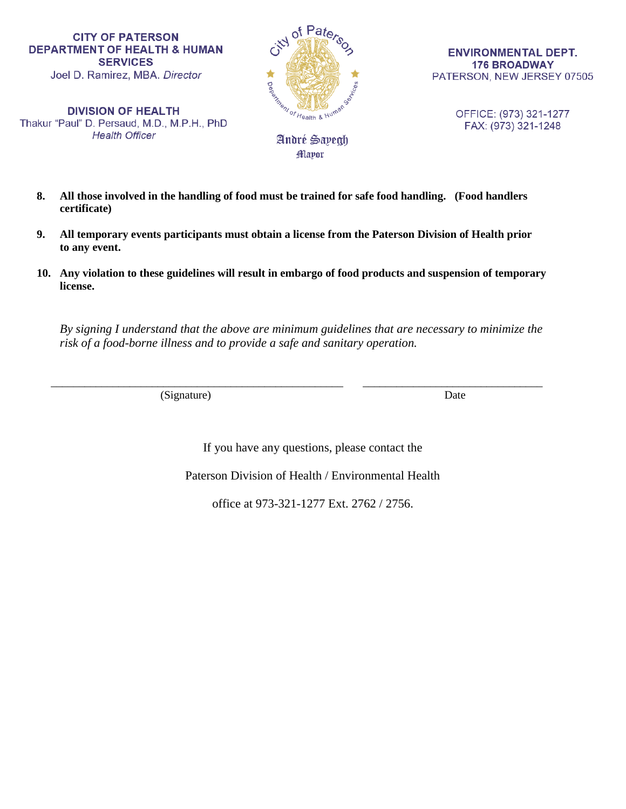**DIVISION OF HEALTH** Thakur "Paul" D. Persaud, M.D., M.P.H., PhD **Health Officer** 



Mayor

**ENVIRONMENTAL DEPT. 176 BROADWAY** PATERSON, NEW JERSEY 07505

> OFFICE: (973) 321-1277 FAX: (973) 321-1248

- **8. All those involved in the handling of food must be trained for safe food handling. (Food handlers certificate)**
- **9. All temporary events participants must obtain a license from the Paterson Division of Health prior to any event.**
- **10. Any violation to these guidelines will result in embargo of food products and suspension of temporary license.**

*By signing I understand that the above are minimum guidelines that are necessary to minimize the risk of a food-borne illness and to provide a safe and sanitary operation.* 

 $\overline{\phantom{a}}$  ,  $\overline{\phantom{a}}$  ,  $\overline{\phantom{a}}$  ,  $\overline{\phantom{a}}$  ,  $\overline{\phantom{a}}$  ,  $\overline{\phantom{a}}$  ,  $\overline{\phantom{a}}$  ,  $\overline{\phantom{a}}$  ,  $\overline{\phantom{a}}$  ,  $\overline{\phantom{a}}$  ,  $\overline{\phantom{a}}$  ,  $\overline{\phantom{a}}$  ,  $\overline{\phantom{a}}$  ,  $\overline{\phantom{a}}$  ,  $\overline{\phantom{a}}$  ,  $\overline{\phantom{a}}$ (Signature) Date

If you have any questions, please contact the

Paterson Division of Health / Environmental Health

office at 973-321-1277 Ext. 2762 / 2756.